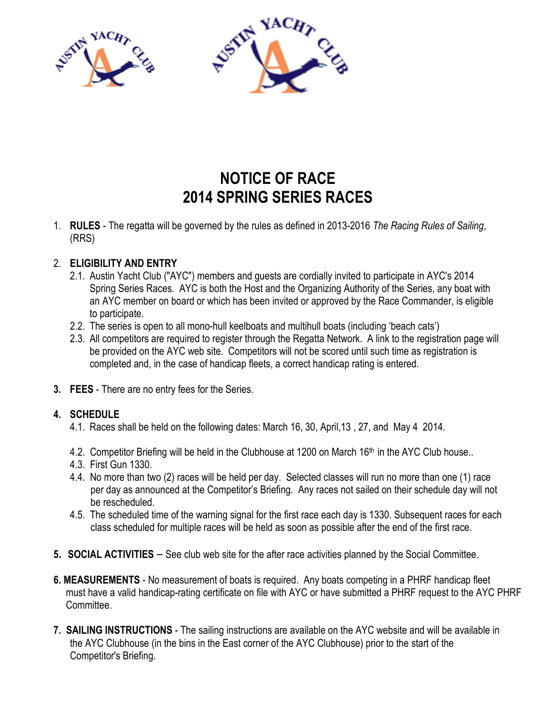

## NOTICE OF RACE 2014 SPRING SERIES RACES

1. RULES - The regatta will be governed by the rules as defined in 2013-2016 The Racing Rules of Sailing, (RRS)

## 2. ELIGIBILITY AND ENTRY

- 2.1. Austin Yacht Club ("AYC") members and guests are cordially invited to participate in AYC's 2014 Spring Series Races. AYC is both the Host and the Organizing Authority of the Series, any boat with an AYC member on board or which has been invited or approved by the Race Commander, is eligible to participate.
- 2.2. The series is open to all mono-hull keelboats and multihull boats (including 'beach cats')
- 2.3. All competitors are required to register through the Regatta Network. A link to the registration page will be provided on the AYC web site. Competitors will not be scored until such time as registration is completed and, in the case of handicap fleets, a correct handicap rating is entered.
- 3. FEES There are no entry fees for the Series.

## 4. SCHEDULE

- 4.1. Races shall be held on the following dates: March 16, 30, April,13 , 27, and May 4 2014.
- 4.2. Competitor Briefing will be held in the Clubhouse at 1200 on March 16<sup>th</sup> in the AYC Club house..
- 4.3. First Gun 1330.
- 4.4. No more than two (2) races will be held per day. Selected classes will run no more than one (1) race per day as announced at the Competitor's Briefing. Any races not sailed on their schedule day will not be rescheduled.
- 4.5. The scheduled time of the warning signal for the first race each day is 1330. Subsequent races for each class scheduled for multiple races will be held as soon as possible after the end of the first race.
- <sup>5</sup>. SOCIAL ACTIVITIES See club web site for the after race activities planned by the Social Committee.
- 6. MEASUREMENTS No measurement of boats is required. Any boats competing in a PHRF handicap fleet must have a valid handicap-rating certificate on file with AYC or have submitted a PHRF request to the AYC PHRF **Committee**
- 7. SAILING INSTRUCTIONS The sailing instructions are available on the AYC website and will be available in the AYC Clubhouse (in the bins in the East corner of the AYC Clubhouse) prior to the start of the Competitor's Briefing.